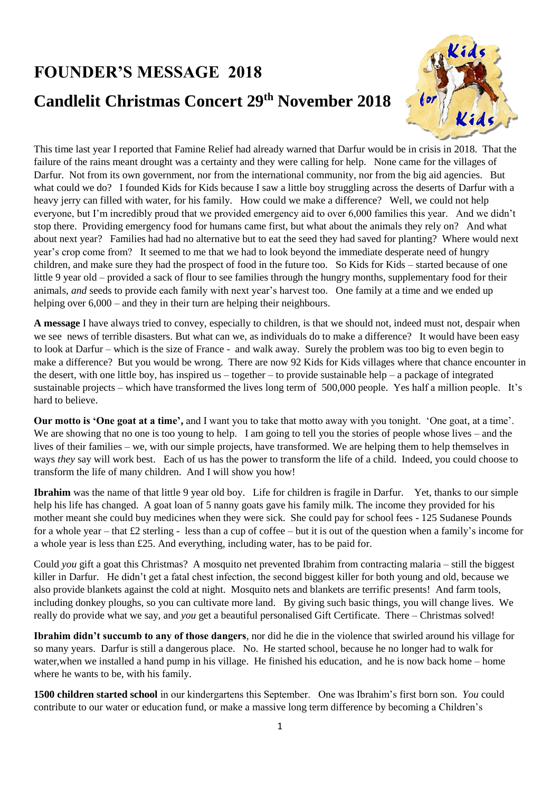## **FOUNDER'S MESSAGE 2018 Candlelit Christmas Concert 29th November 2018**



This time last year I reported that Famine Relief had already warned that Darfur would be in crisis in 2018. That the failure of the rains meant drought was a certainty and they were calling for help. None came for the villages of Darfur. Not from its own government, nor from the international community, nor from the big aid agencies. But what could we do? I founded Kids for Kids because I saw a little boy struggling across the deserts of Darfur with a heavy jerry can filled with water, for his family. How could we make a difference? Well, we could not help everyone, but I'm incredibly proud that we provided emergency aid to over 6,000 families this year. And we didn't stop there. Providing emergency food for humans came first, but what about the animals they rely on? And what about next year? Families had had no alternative but to eat the seed they had saved for planting? Where would next year's crop come from? It seemed to me that we had to look beyond the immediate desperate need of hungry children, and make sure they had the prospect of food in the future too. So Kids for Kids – started because of one little 9 year old – provided a sack of flour to see families through the hungry months, supplementary food for their animals, *and* seeds to provide each family with next year's harvest too. One family at a time and we ended up helping over  $6,000$  – and they in their turn are helping their neighbours.

**A message** I have always tried to convey, especially to children, is that we should not, indeed must not, despair when we see news of terrible disasters. But what can we, as individuals do to make a difference? It would have been easy to look at Darfur – which is the size of France - and walk away. Surely the problem was too big to even begin to make a difference? But you would be wrong. There are now 92 Kids for Kids villages where that chance encounter in the desert, with one little boy, has inspired us – together – to provide sustainable help – a package of integrated sustainable projects – which have transformed the lives long term of 500,000 people. Yes half a million people. It's hard to believe.

**Our motto is 'One goat at a time',** and I want you to take that motto away with you tonight. 'One goat, at a time'. We are showing that no one is too young to help. I am going to tell you the stories of people whose lives – and the lives of their families – we, with our simple projects, have transformed. We are helping them to help themselves in ways *they* say will work best. Each of us has the power to transform the life of a child. Indeed, you could choose to transform the life of many children. And I will show you how!

**Ibrahim** was the name of that little 9 year old boy. Life for children is fragile in Darfur. Yet, thanks to our simple help his life has changed. A goat loan of 5 nanny goats gave his family milk. The income they provided for his mother meant she could buy medicines when they were sick. She could pay for school fees - 125 Sudanese Pounds for a whole year – that £2 sterling - less than a cup of coffee – but it is out of the question when a family's income for a whole year is less than £25. And everything, including water, has to be paid for.

Could *you* gift a goat this Christmas? A mosquito net prevented Ibrahim from contracting malaria – still the biggest killer in Darfur. He didn't get a fatal chest infection, the second biggest killer for both young and old, because we also provide blankets against the cold at night. Mosquito nets and blankets are terrific presents! And farm tools, including donkey ploughs, so you can cultivate more land. By giving such basic things, you will change lives. We really do provide what we say, and *you* get a beautiful personalised Gift Certificate. There – Christmas solved!

**Ibrahim didn't succumb to any of those dangers**, nor did he die in the violence that swirled around his village for so many years. Darfur is still a dangerous place. No. He started school, because he no longer had to walk for water,when we installed a hand pump in his village. He finished his education, and he is now back home – home where he wants to be, with his family.

**1500 children started school** in our kindergartens this September. One was Ibrahim's first born son. *You* could contribute to our water or education fund, or make a massive long term difference by becoming a Children's